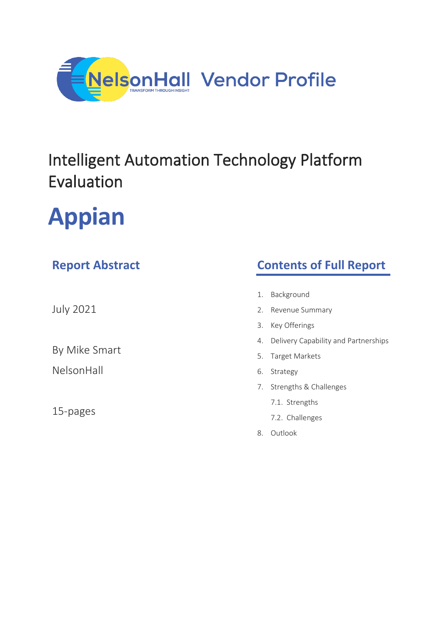

## Intelligent Automation Technology Platform Evaluation

# **Appian**

### **Report Abstract**

July 2021

By Mike Smart

NelsonHall

15-pages

### **Contents of Full Report**

- 1. Background
- 2. Revenue Summary
- 3. Key Offerings
- 4. Delivery Capability and Partnerships
- 5. Target Markets
- 6. Strategy
- 7. Strengths & Challenges
	- 7.1. Strengths
	- 7.2. Challenges
- 8. Outlook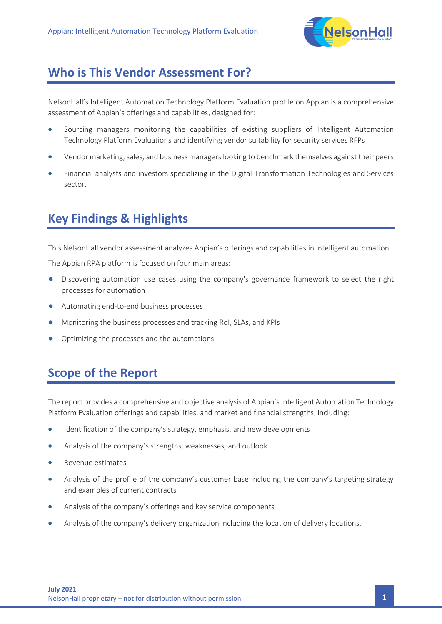

#### **Who is This Vendor Assessment For?**

NelsonHall's Intelligent Automation Technology Platform Evaluation profile on Appian is a comprehensive assessment of Appian's offerings and capabilities, designed for:

- Sourcing managers monitoring the capabilities of existing suppliers of Intelligent Automation Technology Platform Evaluations and identifying vendor suitability for security services RFPs
- Vendor marketing, sales, and business managers looking to benchmark themselves against their peers
- Financial analysts and investors specializing in the Digital Transformation Technologies and Services sector.

### **Key Findings & Highlights**

This NelsonHall vendor assessment analyzes Appian's offerings and capabilities in intelligent automation.

The Appian RPA platform is focused on four main areas:

- Discovering automation use cases using the company's governance framework to select the right processes for automation
- Automating end-to-end business processes
- Monitoring the business processes and tracking RoI, SLAs, and KPIs
- Optimizing the processes and the automations.

### **Scope of the Report**

The report provides a comprehensive and objective analysis of Appian's Intelligent Automation Technology Platform Evaluation offerings and capabilities, and market and financial strengths, including:

- Identification of the company's strategy, emphasis, and new developments
- Analysis of the company's strengths, weaknesses, and outlook
- Revenue estimates
- Analysis of the profile of the company's customer base including the company's targeting strategy and examples of current contracts
- Analysis of the company's offerings and key service components
- Analysis of the company's delivery organization including the location of delivery locations.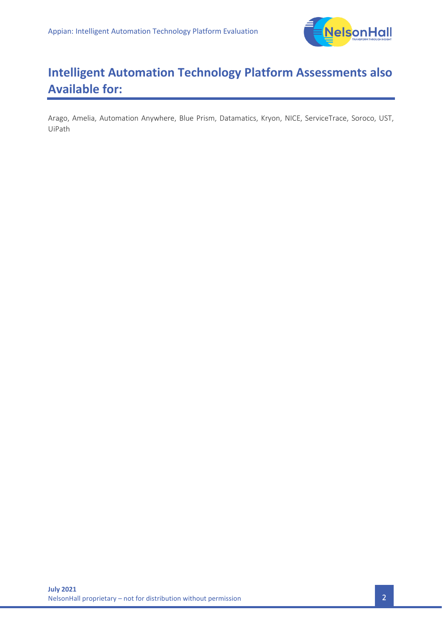

### **Intelligent Automation Technology Platform Assessments also Available for:**

Arago, Amelia, Automation Anywhere, Blue Prism, Datamatics, Kryon, NICE, ServiceTrace, Soroco, UST, UiPath